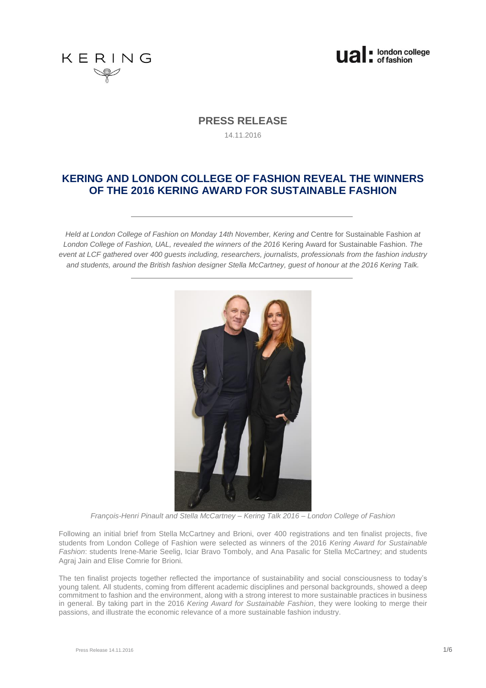



## **PRESS RELEASE**

14.11.2016

# **KERING AND LONDON COLLEGE OF FASHION REVEAL THE WINNERS OF THE 2016 KERING AWARD FOR SUSTAINABLE FASHION**

*Held at London College of Fashion on Monday 14th November, Kering and* Centre for Sustainable Fashion *at London College of Fashion, UAL, revealed the winners of the 2016* Kering Award for Sustainable Fashion*. The event at LCF gathered over 400 guests including, researchers, journalists, professionals from the fashion industry and students, around the British fashion designer Stella McCartney, guest of honour at the 2016 Kering Talk.*



*François-Henri Pinault and Stella McCartney – Kering Talk 2016 – London College of Fashion*

Following an initial brief from Stella McCartney and Brioni, over 400 registrations and ten finalist projects, five students from London College of Fashion were selected as winners of the 2016 *Kering Award for Sustainable Fashion*: students Irene-Marie Seelig, Iciar Bravo Tomboly, and Ana Pasalic for Stella McCartney; and students Agraj Jain and Elise Comrie for Brioni.

The ten finalist projects together reflected the importance of sustainability and social consciousness to today's young talent. All students, coming from different academic disciplines and personal backgrounds, showed a deep commitment to fashion and the environment, along with a strong interest to more sustainable practices in business in general. By taking part in the 2016 *Kering Award for Sustainable Fashion*, they were looking to merge their passions, and illustrate the economic relevance of a more sustainable fashion industry.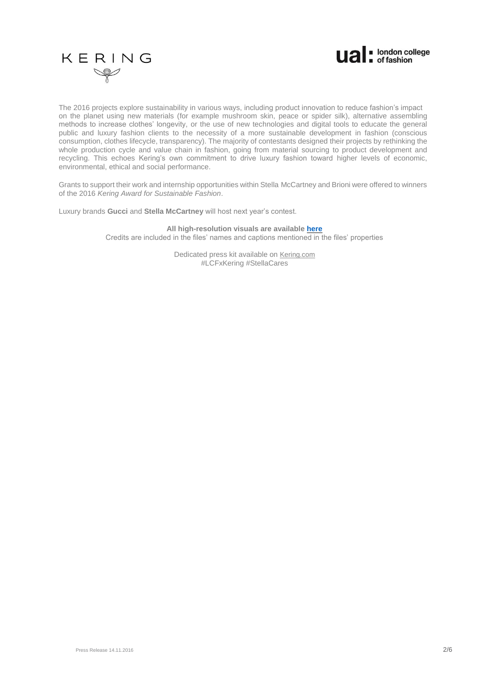



The 2016 projects explore sustainability in various ways, including product innovation to reduce fashion's impact on the planet using new materials (for example mushroom skin, peace or spider silk), alternative assembling methods to increase clothes' longevity, or the use of new technologies and digital tools to educate the general public and luxury fashion clients to the necessity of a more sustainable development in fashion (conscious consumption, clothes lifecycle, transparency). The majority of contestants designed their projects by rethinking the whole production cycle and value chain in fashion, going from material sourcing to product development and recycling. This echoes Kering's own commitment to drive luxury fashion toward higher levels of economic, environmental, ethical and social performance.

Grants to support their work and internship opportunities within Stella McCartney and Brioni were offered to winners of the 2016 *Kering Award for Sustainable Fashion*.

Luxury brands **Gucci** and **Stella McCartney** will host next year's contest.

**All high-resolution visuals are available [here](https://urldefense.proofpoint.com/v2/url?u=https-3A__we.tl_kaQma34YyR&d=CwIFAg&c=pu89_ybC5QJ7qLIcOXv_zX9LEN-7TkqB-bJkFXgYPs0&r=BaZl0VJPvB9fjU_43DHqMQhjKdDnsylxtFEGavIghDE&m=edVJ5ViMMt6U5Q5kFPIogBPYtoUzlq6cXzhRGogl2Nw&s=zFEhUecrrXJ1cbtgG-mrMhVXaVoX8AVNAWx_uvmg0M0&e)** Credits are included in the files' names and captions mentioned in the files' properties

> Dedicated press kit available on [Kering.com](http://www.kering.com/sites/default/files/press_kit_-_2016_kering_talk_at_lcf.pdf) #LCFxKering #StellaCares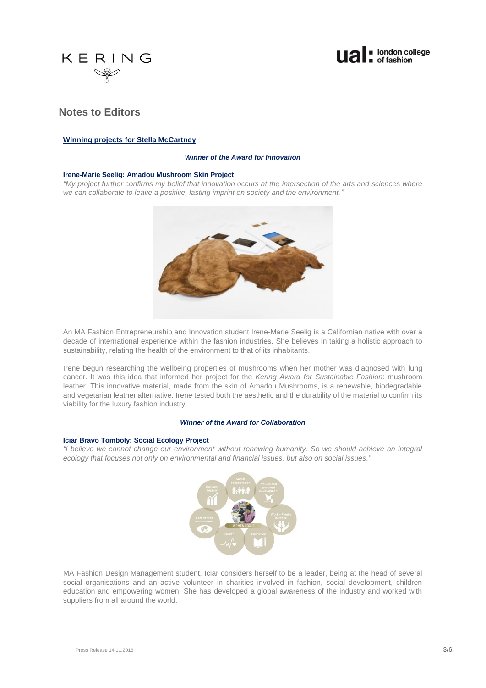



# **Notes to Editors**

## **Winning projects for Stella McCartney**

### *Winner of the Award for Innovation*

## **Irene-Marie Seelig: Amadou Mushroom Skin Project**

*"My project further confirms my belief that innovation occurs at the intersection of the arts and sciences where we can collaborate to leave a positive, lasting imprint on society and the environment."*



An [MA Fashion Entrepreneurship and Innovation](http://www.arts.ac.uk/fashion/courses/postgraduate/ma-fashion-entrepreneurship-and-innovation/) student Irene-Marie Seelig is a Californian native with over a decade of international experience within the fashion industries. She believes in taking a holistic approach to sustainability, relating the health of the environment to that of its inhabitants.

Irene begun researching the wellbeing properties of mushrooms when her mother was diagnosed with lung cancer. It was this idea that informed her project for the *Kering Award for Sustainable Fashion*: mushroom leather. This innovative material, made from the skin of Amadou Mushrooms, is a renewable, biodegradable and vegetarian leather alternative. Irene tested both the aesthetic and the durability of the material to confirm its viability for the luxury fashion industry.

### *Winner of the Award for Collaboration*

#### **Iciar Bravo Tomboly: Social Ecology Project**

*"I believe we cannot change our environment without renewing humanity. So we should achieve an integral ecology that focuses not only on environmental and financial issues, but also on social issues."*



MA Fashion Design Management student, Iciar considers herself to be a leader, being at the head of several social organisations and an active volunteer in charities involved in fashion, social development, children education and empowering women. She has developed a global awareness of the industry and worked with suppliers from all around the world.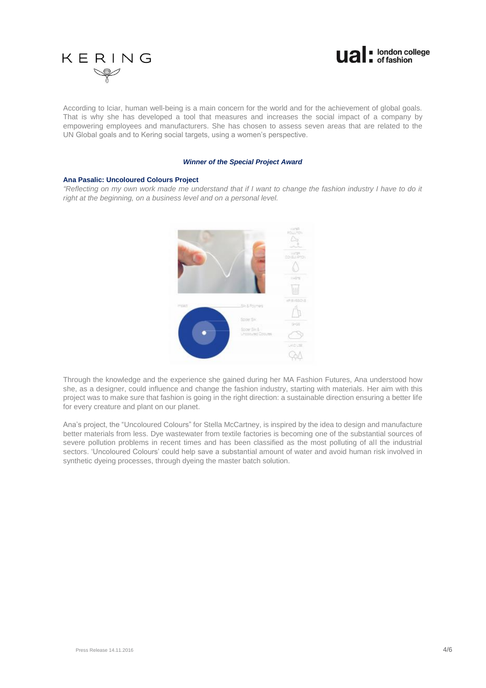



According to Iciar, human well-being is a main concern for the world and for the achievement of global goals. That is why she has developed a tool that measures and increases the social impact of a company by empowering employees and manufacturers. She has chosen to assess seven areas that are related to the UN Global goals and to Kering social targets, using a women's perspective.

#### *Winner of the Special Project Award*

#### **Ana Pasalic: Uncoloured Colours Project**

*"Reflecting on my own work made me understand that if I want to change the fashion industry I have to do it right at the beginning, on a business level and on a personal level.*



Through the knowledge and the experience she gained during her MA Fashion Futures, Ana understood how she, as a designer, could influence and change the fashion industry, starting with materials. Her aim with this project was to make sure that fashion is going in the right direction: a sustainable direction ensuring a better life for every creature and plant on our planet.

Ana's project, the "Uncoloured Colours" for Stella McCartney, is inspired by the idea to design and manufacture better materials from less. Dye wastewater from textile factories is becoming one of the substantial sources of severe pollution problems in recent times and has been classified as the most polluting of all the industrial sectors. 'Uncoloured Colours' could help save a substantial amount of water and avoid human risk involved in synthetic dyeing processes, through dyeing the master batch solution.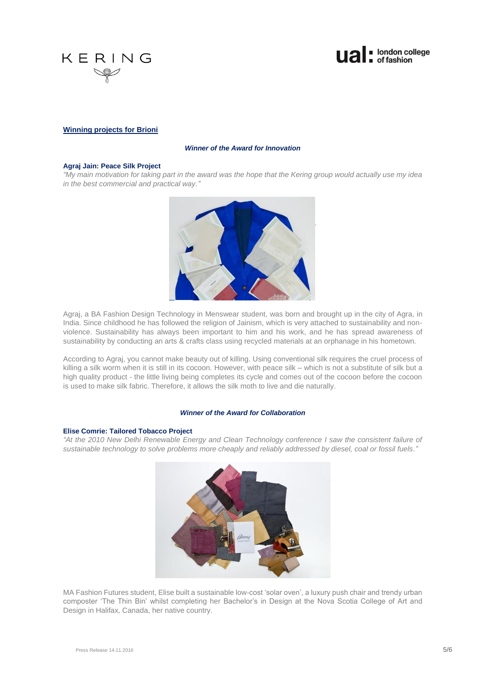



## **Winning projects for Brioni**

### *Winner of the Award for Innovation*

## **Agraj Jain: Peace Silk Project**

*"My main motivation for taking part in the award was the hope that the Kering group would actually use my idea in the best commercial and practical way."*



Agraj, a BA Fashion Design Technology in Menswear student, was born and brought up in the city of Agra, in India. Since childhood he has followed the religion of Jainism, which is very attached to sustainability and nonviolence. Sustainability has always been important to him and his work, and he has spread awareness of sustainability by conducting an arts & crafts class using recycled materials at an orphanage in his hometown.

According to Agraj, you cannot make beauty out of killing. Using conventional silk requires the cruel process of killing a silk worm when it is still in its cocoon. However, with peace silk – which is not a substitute of silk but a high quality product - the little living being completes its cycle and comes out of the cocoon before the cocoon is used to make silk fabric. Therefore, it allows the silk moth to live and die naturally.

#### *Winner of the Award for Collaboration*

#### **Elise Comrie: Tailored Tobacco Project**

*"At the 2010 New Delhi Renewable Energy and Clean Technology conference I saw the consistent failure of sustainable technology to solve problems more cheaply and reliably addressed by diesel, coal or fossil fuels."*



MA Fashion Futures student, Elise built a sustainable low-cost 'solar oven', a luxury push chair and trendy urban composter 'The Thin Bin' whilst completing her Bachelor's in Design at the Nova Scotia College of Art and Design in Halifax, Canada, her native country.